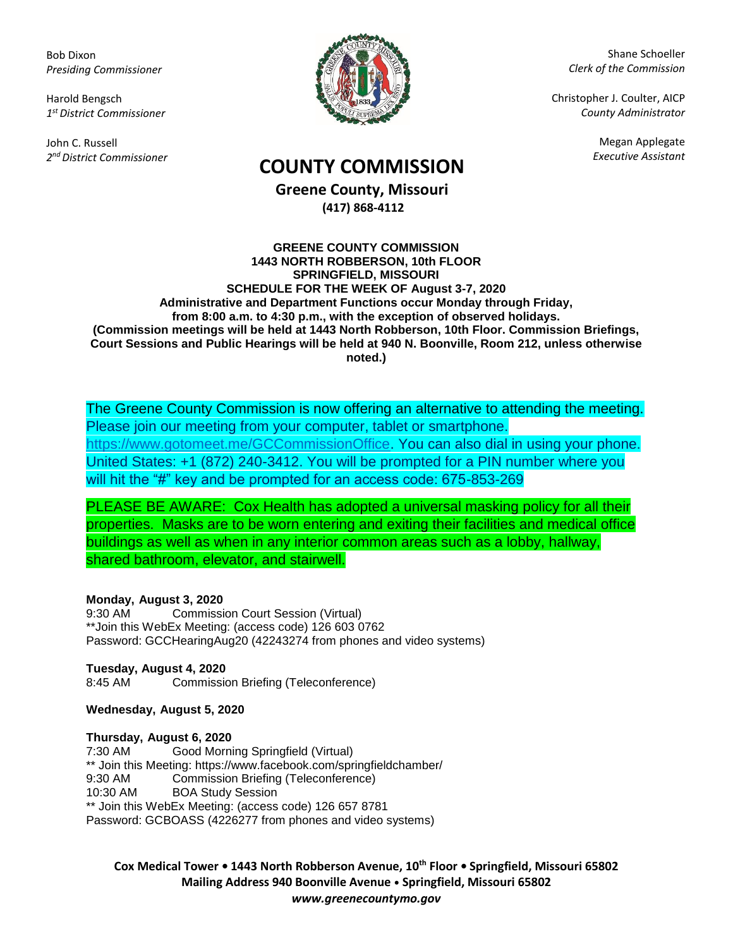Bob Dixon *Presiding Commissioner*

Harold Bengsch *1 st District Commissioner*

John C. Russell *2 nd District Commissioner*



Shane Schoeller *Clerk of the Commission*

Christopher J. Coulter, AICP *County Administrator*

Megan Applegate

# *Executive Assistant* **COUNTY COMMISSION**

**Greene County, Missouri (417) 868-4112**

#### **GREENE COUNTY COMMISSION 1443 NORTH ROBBERSON, 10th FLOOR SPRINGFIELD, MISSOURI SCHEDULE FOR THE WEEK OF August 3-7, 2020 Administrative and Department Functions occur Monday through Friday, from 8:00 a.m. to 4:30 p.m., with the exception of observed holidays. (Commission meetings will be held at 1443 North Robberson, 10th Floor. Commission Briefings, Court Sessions and Public Hearings will be held at 940 N. Boonville, Room 212, unless otherwise noted.)**

The Greene County Commission is now offering an alternative to attending the meeting. Please join our meeting from your computer, tablet or smartphone. [https://www.gotomeet.me/GCCommissionOffice.](https://www.gotomeet.me/GCCommissionOffice) You can also dial in using your phone. United States: +1 (872) 240-3412. You will be prompted for a PIN number where you will hit the "#" key and be prompted for an access code: 675-853-269

PLEASE BE AWARE: Cox Health has adopted a universal masking policy for all their properties. Masks are to be worn entering and exiting their facilities and medical office buildings as well as when in any interior common areas such as a lobby, hallway, shared bathroom, elevator, and stairwell.

### **Monday, August 3, 2020**

9:30 AM Commission Court Session (Virtual) \*\*Join this WebEx Meeting: (access code) 126 603 0762 Password: GCCHearingAug20 (42243274 from phones and video systems)

**Tuesday, August 4, 2020** 8:45 AM Commission Briefing (Teleconference)

**Wednesday, August 5, 2020**

#### **Thursday, August 6, 2020**

7:30 AM Good Morning Springfield (Virtual) \*\* Join this Meeting: https://www.facebook.com/springfieldchamber/<br>9:30 AM Commission Briefing (Teleconference) Commission Briefing (Teleconference) 10:30 AM BOA Study Session \*\* Join this WebEx Meeting: (access code) 126 657 8781 Password: GCBOASS (4226277 from phones and video systems)

**Cox Medical Tower • 1443 North Robberson Avenue, 10th Floor • Springfield, Missouri 65802 Mailing Address 940 Boonville Avenue • Springfield, Missouri 65802** *www.greenecountymo.gov*